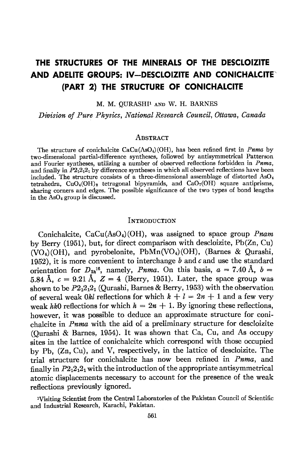# THE STRUCTURES OF THE MINERALS OF THE DESCLOIZITE AND ADELITE GROUPS: IV-DESCLOIZITE AND CONICHALCITE (PART 2) THE STRUCTURE OF CONICHALCITE

M. M. OURASHI<sup>1</sup> AND W. H. BARNES

Division of Pure Physics, National Research Council, Ottawa, Canada

#### **ABSTRACT**

The structure of conichalcite  $CaCu(AsO<sub>4</sub>)(OH)$ , has been refined first in *Pnma* by two-dimensional partial-difference syntheses, followed by antisymmetrical Patterson and Fourier syntheses, utilizing a number of observed reflections forbidden in *Pnma*, and finally in  $P2_12_12_1$  by difference syntheses in which all observed reflections have been included. The structure consists of a three-dimensional assemblage of distorted  $AsO<sub>4</sub>$ tetrahedra,  $CuO<sub>4</sub>(OH)<sub>2</sub>$  tetragonal bipyramids, and  $CaO<sub>7</sub>(OH)<sup>3</sup>$  square antiprisms, sharing corners and edges. The possible significance of the two types of bond lengths in the AsOa group is discussed.

### **INTRODUCTION**

Conichalcite,  $CaCu(AsO<sub>4</sub>)(OH)$ , was assigned to space group *Pnam* by Berry (1951), but, for direct comparison with descloizite, Pb(Zn, Cu)  $(VO<sub>4</sub>)(OH)$ , and pyrobelonite, PbMn(VO<sub>4</sub>)(OH), (Barnes & Qurashi, 1952), it is more convenient to interchange  $b$  and  $c$  and use the standard orientation for  $D_{2h}^{16}$ , namely, *Pnma*. On this basis,  $a = 7.40 \text{ Å}$ .  $b =$ 5.84 Å,  $c = 9.21$  Å,  $Z = 4$  (Berry, 1951). Later, the space group was shown to be  $P2_12_12_1$  (Qurashi, Barnes & Berry, 1953) with the observation of several weak 0kl reflections for which  $k + l = 2n + 1$  and a few very weak hk0 reflections for which  $h = 2n + 1$ . By ignoring these reflections, however, it was possible to deduce an approximate structure for conichalcite in Pnma with the aid of a preliminary structure for descloizite (Qurashi & Barnes, 1954). It was shown that Ca, Cu, and As occupy sites in the lattice of conichalcite which correspond with those occupied by Pb, (Zn, Cu), and V, respectively, in the lattice of descloizite. The trial structure for conichalcite has now been refined in Pnma. and finally in  $P_12_12_1$  with the introduction of the appropriate antisymmetrical atomic displacements necessary to account for the presence of the weak reflections previously ignored.

rVisiting Scientist from the Central Laboratories of the Pakistan Council of Scientific and Industrial Research, Karachi, Pakistan.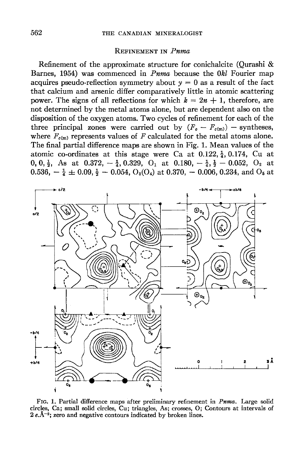#### REFINEMENT IN Puma

Refinement of the approximate structure for conichalcite (Qurashi & Barnes, 1954) was commenced in  $Pnma$  because the  $0kl$  Fourier map acquires pseudo-reflection symmetry about  $y = 0$  as a result of the fact that calcium and arsenic differ comparatively little in atomic scattering power. The signs of all reflections for which  $k=2n + 1$ , therefore, are not determined by the metal atoms alone, but are dependent also on the disposition of the oxygen atoms. Two cycles of refinement for each of the three principal zones were carried out by  $(F_o - F_{c(m)})$  - syntheses, where  $F_{c(m)}$  represents values of F calculated for the metal atoms alone. The final partial difference maps are shown in Fig. 1. Mean values of the atomic co-ordinates at this stage were Ca at  $0.122, \frac{1}{4}$ , 0.174, Cu at 0, 0,  $\frac{1}{2}$ , As at 0.372,  $-\frac{1}{4}$ , 0.329, O<sub>1</sub> at 0.180,  $-\frac{1}{4}$ ,  $\frac{1}{2}$  - 0.052, O<sub>2</sub> at  $0.536, -\frac{1}{4} \pm 0.09, \frac{1}{2} - 0.054, O_8(O_4)$  at  $0.370, -0.006, 0.234,$  and  $O_5$  at



FIG. 1. Partial difference maps after preliminary refinement in Pnma. Large solid circles, Ca; small solid circles, Cu; triangles, Asl crosses, O; Contours at intervals of  $2 e.\mathrm{A}^{-2}$ ; zero and negative contours indicated by broken lines.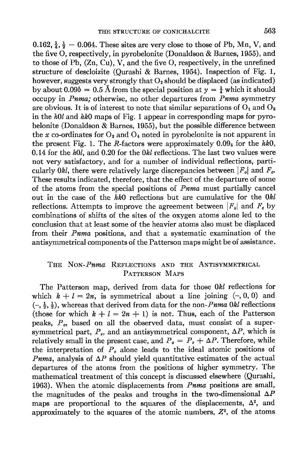0.162,  $\frac{1}{4}$ ,  $\frac{1}{2}$  - 0.064. These sites are very close to those of Pb, Mn, V, and the five O, respectively, in pyrobelonite (Donaldson & Barnes, 1955), and to those of Pb, (Zn, Cu), V, and the five O, respectively, in the unrefined structure of descloizite (Ourashi & Barnes, 1954). Inspection of Fig. 1, however, suggests very strongly that  $O_2$  should be displaced (as indicated) by about  $0.09b = 0.5$  Å from the special position at  $y = \frac{1}{4}$  which it should occupy in *Pnma*; otherwise, no other departures from *Pnma* symmetry are obvious. It is of interest to note that similar separations of  $O_1$  and  $O_5$ in the  $h0l$  and  $hk0$  maps of Fig. 1 appear in corresponding maps for pyrobelonite (Donaldson & Barnes, 1955), but the possible difference between the x co-ordinates for  $O_3$  and  $O_4$  noted in pyrobelonite is not apparent in the present Fig. 1. The R-factors were approximately  $0.09<sub>5</sub>$  for the hk0, 0.14 for the  $h0l$ , and 0.20 for the  $0kl$  reflections. The last two values were not very satisfactory, and for a number of individual reflections, particularly 0kl, there were relatively large discrepancies between  $|F_o|$  and  $F_o$ . These results indicated, therefore, that the effect of the departure of some of the atoms from the special positions of Pnma must partially cancel out in the case of the  $hk0$  reflections but are cumulative for the  $0kl$ reflections. Attempts to improve the agreement between  $|F_{o}|$  and  $F_{o}$  by combinations of shifts of the sites of the oxygen atoms alone led to the conclusion that at least some of the heavier atoms also must be displaced from their Pnrna positions, and that a systematic examination of the antisymmetrical components of the Patterson maps might be of assistance.

# THE NON-Puma REFLECTIONS AND THE ANTISYMMETRICAL PATTERSON MAPS

The Patterson map, derived from data for those 0&l reflections for which  $k + l = 2n$ , is symmetrical about a line joining  $(-, 0, 0)$  and  $\left(-, \frac{1}{2}, \frac{1}{2}\right)$ , whereas that derived from data for the non-*Pnma 0kl* reflections (those for which  $k + l = 2n + 1$ ) is not. Thus, each of the Patterson peaks,  $P<sub>o</sub>$ , based on all the observed data, must consist of a supersymmetrical part,  $P_s$ , and an antisymmetrical component,  $\Delta P$ , which is relatively small in the present case, and  $P_o = P_s + \Delta P$ . Therefore, while the interpretation of  $P_{\rm a}$  alone leads to the ideal atomic positions of *Pnma*, analysis of  $\Delta P$  should yield quantitative estimates of the actual departures of the atoms from the positions of higher symmetry. The mathematical treatment of this concept is discussed elsewhere (Qurashi, 1963). When the atomic displacements from Pnma positions are small, the magnitudes of the peaks and troughs in the two-dimensional  $\Delta P$ maps are proportional to the squares of the displacements,  $\Delta^2$ , and approximately to the squares of the atomic numbers,  $Z<sup>2</sup>$ , of the atoms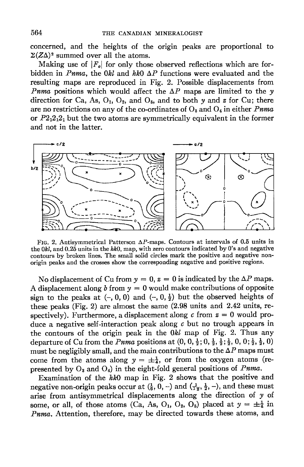concerned, and the heights of the origin peaks are proportional to  $\Sigma(Z\Delta)^2$  summed over all the atoms.

Making use of  $|F_{\rho}|$  for only those observed reflections which are forbidden in *Pnma*, the 0kl and hko  $\Delta P$  functions were evaluated and the resulting maps are reproduced in Fig. 2. Possible displacements from *Pnma* positions which would affect the  $\Delta P$  maps are limited to the y direction for Ca, As,  $O_1$ ,  $O_2$ , and  $O_5$ , and to both y and z for Cu; there are no restrictions on any of the co-ordinates of  $O_3$  and  $O_4$  in either *Pnma* or  $P2_12_12_1$  but the two atoms are symmetrically equivalent in the former and not in the latter.



FIG. 2. Antisymmetrical Patterson  $\Delta P$ -maps. Contours at intervals of 0.5 units in the  $0kl$ , and  $0.25$  units in the  $hk0$ , map, with zero contours indicated by 0's and negative contours by broken lines. The small solid circles mark the positive and negative non' origin peaks and the crosses show the corresponding negative and positive regions.

No displacement of Cu from  $y = 0$ ,  $z = 0$  is indicated by the  $\Delta P$  maps. A displacement along b from  $y = 0$  would make contributions of opposite sign to the peaks at  $(-,0,0)$  and  $(-,0,\frac{1}{2})$  but the observed heights of these peaks (Fig. 2) are almost the same (2.98 units and 2.42 units, respectively). Furthermore, a displacement along  $c$  from  $z = 0$  would produce a negative self-interaction peak along  $c$  but no trough appears in the contours of the origin peak in the  $0kl$  map of Fig. 2. Thus any departure of Cu from the *Pnma* positions at  $(0, 0, \frac{1}{2}, 0, \frac{1}{2}, \frac{1}{2}, 0, 0; \frac{1}{2}, \frac{1}{2}, 0)$ must be negligibly small, and the main contributions to the  $\Delta P$  maps must come from the atoms along  $y = \pm \frac{1}{4}$ , or from the oxygen atoms (represented by  $O_3$  and  $O_4$ ) in the eight-fold general positions of *Pnma*.

Examination of the hko map in Fig. 2 shows that the positive and negative non-origin peaks occur at  $(\frac{1}{6}, 0, -)$  and  $(\frac{1}{12}, \frac{1}{2}, -)$ , and these must arise from antisymmetrical displacements along the direction of  $y$  of. some, or all, of those atoms (Ca, As, O<sub>1</sub>, O<sub>2</sub>, O<sub>5</sub>) placed at  $y = \pm \frac{1}{4}$  in Pnma. Attention, therefore, may be directed towards these atoms, and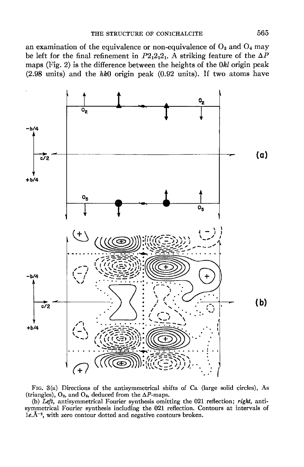an examination of the equivalence or non-equivalence of  $O_3$  and  $O_4$  may be left for the final refinement in  $P2_12_12_1$ . A striking feature of the  $\Delta P$ maps (Fig. 2) is the difference between the heights of the 0&l origin peak  $(2.98 \text{ units})$  and the hk0 origin peak  $(0.92 \text{ units})$ . If two atoms have



Ftc. 3(a) Directions of the antisymmetrical shifts of Ca (large solid circles), As (triangles),  $O_2$ , and  $O_5$ , deduced from the  $\Delta P$ -maps.

(b) Left, antisymmetrical Fourier synthesis omitting the 021 reflection; right, antisymmetrical Fourier synthesis including the 021 reflection. Contours at intervals of  $1e.\AA^{-2}$ , with zero contour dotted and negative contours broken.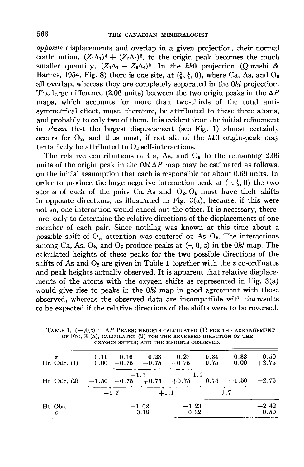$o\phi$ *posite* displacements and overlap in a given projection, their normal contribution,  $(Z_1\Delta_1)^2 + (Z_2\Delta_2)^2$ , to the origin peak becomes the much smaller quantity,  $(Z_1\Delta_1 - Z_2\Delta_2)^2$ . In the hk0 projection (Ourashi & Barnes, 1954, Fig. 8) there is one site, at  $(\frac{1}{8}, \frac{1}{4}, 0)$ , where Ca, As, and O<sub>5</sub> all overlap, whereas they are completely separated in the  $0kl$  projection. The large difference (2.06 units) between the two origin peaks in the  $\Delta P$ maps, which accounts for more than two-thirds of the total antisymmetrical effect, must, therefore, be attributed to these three atoms, and probably to only two of them. It is evident from the initial refinement in *Pama* that the largest displacement (see Fig. 1) almost certainly occurs for  $O_2$ , and thus most, if not all, of the hk0 origin-peak may tentatively be attributed to  $O<sub>2</sub>$  self-interactions.

The relative contributions of Ca, As, and  $O<sub>5</sub>$  to the remaining 2.06 units of the origin peak in the  $0kl\Delta P$  map may be estimated as follows, on the initial assumption that each is responsible for about 0.69 units. In order to produce the large negative interaction peak at  $(-, \frac{1}{2}, 0)$  the two atoms of each of the pairs  $Ca$ , As and  $O_2$ ,  $O_5$  must have their shifts in opposite directions, as illustrated in Fig.  $3(a)$ , because, if this were not so, one interaction would cancel out the other. It is necessary, therefore, only to determine the relative directions of the displacements of one member of each pair. Since nothing was known at this time about a possible shift of  $O_5$ , attention was centered on As,  $O_2$ . The interactions among Ca, As,  $O_2$ , and  $O_5$  produce peaks at  $(-, 0, z)$  in the 0kl map. The calculated heights of these peaks for the two possible directions of the shifts of As and  $O_2$  are given in Table 1 together with the z co-ordinates and peak heights actually observed. It is apparent that relative displacements of the atoms with the oxygen shifts as represented in Fig.  $3(a)$ would give rise to peaks in the 0kl map in good agreement with those obserued, whereas the observed data are incompatible with the results to be expected if the relative directions of the shifts were to be reversed.

| z<br>$Ht.$ Calc. $(1)$ | 0.16<br>0.11<br>$0.00 - 0.75$ | 0.23<br>$-0.75$ | 0.27                    | 0.34<br>$-0.75 -0.75$ | 0.38<br>0.00 | 0.50<br>$+2.75$ |
|------------------------|-------------------------------|-----------------|-------------------------|-----------------------|--------------|-----------------|
| Ht. Calc. $(2)$        | $-1.50 -0.75 +0.75$           | $-1.1$          | $+0.75$ $-0.75$ $-1.50$ | $-1.1$                |              | $+2.75$         |
|                        | $-1.7$                        |                 | $+1.1$                  |                       | $-1.7$       |                 |
| Ht. Obs.<br>z          |                               | $-1.02$<br>0.19 | $-1.23$                 | 0.32                  |              | $+2.42$<br>0.50 |

TABLE 1.  $(-,0, z) = \Delta P$  PEAKS: HEIGHTS CALCULATED (1) FOR THE ARRANGEMENT OF FIG. 3 (a), CALCULATED (2) FOR THE REVERSED DIRECTION OF THE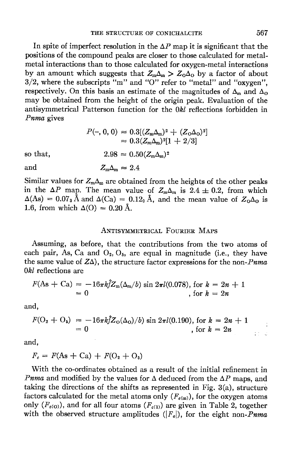In spite of imperfect resolution in the  $\Delta P$  map it is significant that the positions of the compound peaks are closer to those calculated for metalmetal interactions than to those calculated for oxygen-metal interactions by an amount which suggests that  $Z_m \Delta_m > Z_0 \Delta_0$  by a factor of about  $3/2$ , where the subscripts "m" and "O" refer to "metal" and "oxygen", respectively. On this basis an estimate of the magnitudes of  $\Delta_{\rm m}$  and  $\Delta_{\rm O}$ may be obtained from the height of the origin peak. Evaluation of the antisymmetrical Patterson function for the 0&l reflections forbidden in Pnma gives

$$
P(-, 0, 0) \approx 0.3[(Z_{\rm m}\Delta_{\rm m})^2 + (Z_{\rm O}\Delta_{\rm O})^2]
$$
  

$$
\approx 0.3(Z_{\rm m}\Delta_{\rm m})^2[1 + 2/3]
$$
  

$$
2.98 \approx 0.50(Z_{\rm m}\Delta_{\rm m})^2
$$

so that,

and

 $Z_{\rm m}\Delta_{\rm m}=2.4$ 

Similar values for  $Z_m\Delta_m$  are obtained from the heights of the other peaks in the  $\Delta P$  map. The mean value of  $Z_m\Delta_m$  is 2.4  $\pm$  0.2, from which  $\Delta(\text{As}) = 0.07$ <sub>3</sub> Å and  $\Delta(Ca) = 0.12$ <sub>0</sub> Å, and the mean value of  $Z_0\Delta_0$  is 1.6, from which  $\Delta$ (O) = 0.20 Å.

# ANTISYMMETRICAL FOURIER MAPS

Assuming, as before, that the contributions from the two atoms of each pair, As, Ca and  $O_2$ ,  $O_5$ , are equal in magnitude (i.e., they have the same value of  $Z\Delta$ ), the structure factor expressions for the non-*Pnma*  $0kl$  reflections are

$$
F(\text{As} + \text{Ca}) \approx -16\pi k \hat{f} Z_{\text{m}}(\Delta_{\text{m}}/b) \sin 2\pi l(0.078), \text{ for } k = 2n + 1
$$
  
= 0 , for  $k = 2n$ 

and,

$$
F(O_2 + O_5) = -16\pi k \hat{f} Z_0(\Delta_0)/b) \sin 2\pi l(0.190), \text{ for } k = 2n + 1
$$
  
= 0, for  $k = 2n$ 

and,

$$
F_c = F(\text{As} + \text{Ca}) + F(\text{O}_2 + \text{O}_5)
$$

With the co-ordinates obtained as a result of the initial refinement in *Pnma* and modified by the values for  $\Delta$  deduced from the  $\Delta P$  maps, and taking the directions of the shifts as represented in Fig. 3(a), structure factors calculated for the metal atoms only  $(F_{\epsilon(m)})$ , for the oxygen atoms only  $(F_{\epsilon(0)})$ , and for all four atoms  $(F_{\epsilon(1)})$  are given in Table 2, together with the observed structure amplitudes ( $|F_q|$ ), for the eight non-*Pnma*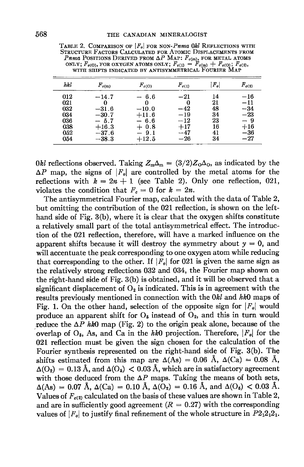| hkl | $F_{c(m)}$ | $F_{c(0)}$ | $F_{c(1)}$   | $F_o$ | $F_{c(2)}$   |
|-----|------------|------------|--------------|-------|--------------|
| 012 | $-14.7$    | $-6.6$     | $^{\rm -21}$ | 14    | $-16$        |
| 021 |            |            | 0            | 21    | $^{\rm -11}$ |
| 032 | $-31.6$    | $-10.0$    | $-42$        | 48    | $-34$        |
| 034 | $-30.7$    | $+11.6$    | $-19$        | 34    | $-23$        |
| 036 | $-5.7$     | - 6.6      | $-12$        | 23    | - 9          |
| 038 | $+16.3$    | $+0.8$     | $+17$        | 16    | $+16$        |
| 052 | $-37.6$    | 9.1        | $-47$        | 41    | $-36$        |
| 054 | $-38.3$    | $+12.5$    | $-26\,$      | 34    | $^{\rm -27}$ |

TABLE 2. COMPARISON OF  $|F_o|$  for NON-Puma Okl REFLECTIONS WITH STRUCTURE FACTORS CALCULATED FOR ATOMIC DISPLACEMENTS FROM FRANCISCUS CALCULATED FROM APPROXIMATE THE RETAIL ATOMS ONLY;  $F_{e(0)}$ , FOR OXYGEN ATOMS ONLY;  $F_{e(1)} = F_{e(m)} + F_{e(0)}$ ;  $F_{e(2)}$ , WITH SHIFTS INDICATED BY ANTISYMMETRICAL FOURIER MAP

0kl reflections observed. Taking  $Z_m \Delta_m = (3/2) Z_0 \Delta_0$ , as indicated by the  $\Delta P$  map, the signs of |F<sub>o</sub>| are controlled by the metal atoms for the reflections with  $k = 2n + 1$  (see Table 2). Only one reflection, 021, violates the condition that  $F_c = 0$  for  $k = 2n$ .

The antisymmetrical Fourier map, calculated with the data of Table 2, but omitting the contribution of the 021 reflection, is shown on the lefthand side of Fig. 3(b), where it is clear that the oxygen shifts constitute a relatively small part of the total antisymmetrical effect. The introduction of the 021 reflection, therefore, will have a marked influence on the apparent shifts because it will destroy the symmetry about  $y = 0$ , and will accentuate the peak corresponding to one oxygen atom while reducing that corresponding to the other. If  $|F_{q}|$  for 021 is given the same sign as the relatively strong reflections 032 and 034, the Fourier map shown on the right-hand side of Fig. 3(b) is obtained, and it will be observed that a significant displacement of  $O_2$  is indicated. This is in agreement with the results previously mentioned in connection with the 0kl and hk0 maps of Fig. 1. On the other hand, selection of the opposite sign for  $|F_{o}|$  would produce an apparent shift for  $O_5$  instead of  $O_2$ , and this in turn would reduce the  $\Delta P$  hk0 map (Fig. 2) to the origin peak alone, because of the overlap of  $O_5$ , As, and Ca in the hk0 projection. Therefore,  $|F_o|$  for the 021 reflection must be given the sign chosen for the calculation of the Fourier synthesis represented on the right-hand side of Fig. 3(b). The shifts estimated from this map are  $\Delta(\text{As}) = 0.06$  Å,  $\Delta(\text{Ca}) = 0.08$  Å,  $\Delta(O_2) = 0.13$  Å, and  $\Delta(O_5) < 0.03$  Å, which are in satisfactory agreement with those deduced from the  $\Delta P$  maps. Taking the means of both sets,  $\Delta(\text{As}) = 0.07 \text{ Å}, \Delta(\text{Ca}) = 0.10 \text{ Å}, \Delta(\text{O}_2) = 0.16 \text{ Å}, \text{ and } \Delta(\text{O}_6) < 0.03 \text{ Å}.$ Values of  $F_{\epsilon(2)}$  calculated on the basis of these values are shown in Table 2, and are in sufficiently good agreement ( $R = 0.27$ ) with the corresponding values of  $|F_a|$  to justify final refinement of the whole structure in  $P2_12_12_1$ .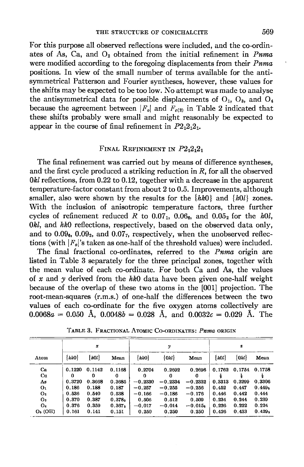For this purpose all observed reflections were included, and the co-ordinates of As, Ca, and  $O<sub>2</sub>$  obtained from the initial refinement in *Puma* were modified according to the foregoing displacements from their *Pnma* positions. In view of the small number of terms available for the antisymmetrical Patterson and Fourier syntheses, however, these values for the shifts may be expected to be too low. No attempt was made to analyse the antisymmetrical data for possible displacements of  $O_1$ ,  $O_3$ , and  $O_4$ because the agreement between  $|F_o|$  and  $F_{c(2)}$  in Table 2 indicated that these shifts probably were small and might reasonably be expected to appear in the course of final refinement in  $P2_12_12_1$ .

## FINAL REFINEMENT IN  $P2_12_12_1$

The final refinement was carried out by means of difference syntheses, and the first cycle produced a striking reduction in R, for all the observed  $0kl$  reflections, from  $0.22$  to  $0.12$ , together with a decrease in the apparent temperature-factor constant from about 2 to 0.5. Improvements, although smaller, also were shown by the results for the  $\{h\&0\}$  and  $\{h0l\}$  zones. With the inclusion of anisotropic temperature factors, three further cycles of refinement reduced R to  $0.07<sub>1</sub>$ ,  $0.06<sub>6</sub>$ , and  $0.05<sub>2</sub>$  for the h0l,  $0k$ , and  $hk0$  reflections, respectively, based on the observed data only, and to  $0.09<sub>6</sub>$ ,  $0.09<sub>2</sub>$ , and  $0.07<sub>7</sub>$ , respectively, when the unobserved reflections (with  $|F_q|$ 's taken as one-half of the threshold values) were included.

The final fractional co-ordinates, referred to the *Pnma* origin are listed in Table 3 separately for the three principal zones, together with the mean value of each co-ordinate. For both Ca and As, the values of x and y derived from the  $hk0$  data have been given one-half weight because of the overlap of these two atoms in the [001] projection. The root-mean-squares (r.m.s.) of one-half the differences between the two values of each co-ordinate for the five oxygen atoms collectively are  $0.0068a = 0.050$  Å,  $0.0048b = 0.028$  Å, and  $0.0032c = 0.029$  Å. The

|           | $\pmb{x}$   |         |                    |           | $\boldsymbol{\mathcal{Y}}$ | s         |        |           |                    |
|-----------|-------------|---------|--------------------|-----------|----------------------------|-----------|--------|-----------|--------------------|
| Atom      | $\{h k 0\}$ | ${hol}$ | Mean               | $\{hk0\}$ | $\{0kl\}$                  | Mean      | h0l    | $\{0kl\}$ | Mean               |
| Cа        | 0.1220      | 0.1142  | 0.1168             | 0.2704    | 0.2692                     | 0.2696    | 0.1762 | 0.1754    | 0.1758             |
| Сu        | 0           | 0       | 0                  | 0         | 0                          | 0         |        |           |                    |
| As        | 0.3720      | 0.3668  | 0.3685             | $-0.2330$ | $-0.2334$                  | $-0.2332$ | 0.3313 | 0.3299    | 0.3306             |
| О1        | 0.186       | 0.188   | 0.187              | $-0.257$  | $-0.255$                   | $-0.256$  | 0.452  | 0.447     | 0.449 <sub>5</sub> |
| O2        | 0.536       | 0.540   | 0.538              | $-0.166$  | $-0.186$                   | $-0.176$  | 0.446  | 0.442     | 0.444              |
| Oз        | 0.370       | 0.387   | 0.378s             | 0.506     | 0.512                      | 0.509     | 0.234  | 0.244     | 0.239              |
| O،        | 0.376       | 0.359   | 0.367 <sub>5</sub> | $-0.017$  | $-0.014$                   | $-0.015s$ | 0.226  | 0.222     | 0.224              |
| $O5$ (OH) | 0.161       | 0.141   | 0.151              | 0.250     | 0.250                      | 0.250     | 0.426  | 0.433     | 0.429 <sub>5</sub> |

TABLE 3. FRACTIONAL ATOMIC CO-ORDINATES: Pnma ORIGIN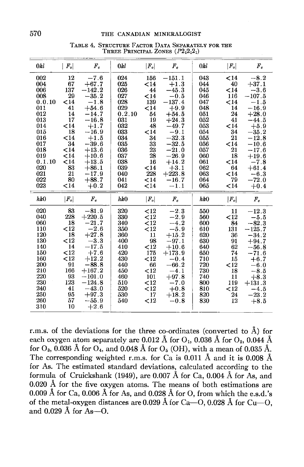| 0kl    | $ F_o $ | $F_{c}$  | 0kl    | $ F_o $ | $F_c$     | 0kl | $ F_o $ | $F_{\alpha}$ |
|--------|---------|----------|--------|---------|-----------|-----|---------|--------------|
| 002    | 12      | $-7.6$   | 024    | 156     | $-151.1$  | 043 | $14$    | $-8.2$       |
| 004    | 67      | $+67.7$  | 025    | $<$ 14  | $+1.3$    | 044 | 40      | $+37.1$      |
| 006    | 137     | $-142.2$ | 026    | 44      | $-45.3$   | 045 | $14$    | $-3.6$       |
| 008    | 29      | $-35.2$  | 027    | $14$    | $-0.5$    | 046 | 116     | $-107.5$     |
| 0.0.10 | <14     | $-1.8$   | 028    | 139     | $-137.4$  | 047 | $14$    | $-1.5$       |
| 011    | 41      | $+54.6$  | 029    | $14$    | $+9.9$    | 048 | 14      | $-16.9$      |
| 012    | 14      | $-14.7$  | 0.2.10 | 54      | $+54.5$   | 051 | 24      | $+28.0$      |
| 013    | 17      | $-16.8$  | 031    | 19      | $+24.3$   | 052 | 41      | $-44.5$      |
| 014    | $14$    | $+1.7$   | 032    | 48      | $-49.7$   | 053 | $14$    | $+5.9$       |
| 015    | 18      | $-16.9$  | 033    | $14$    | $-9.1$    | 054 | 34      | $-35.2$      |
| 016    | $14$    | $+1.5$   | 034    | 34      | $-32.3$   | 055 | 21      | $-12.8$      |
| 017    | 34      | $-39.6$  | 035    | 33      | $-32.5$   | 056 | $14$    | $-10.6$      |
| 018    | $14$    | $+13.6$  | 036    | 23      | $\,-21.0$ | 057 | 21      | $-17.6$      |
| 019    | $14$    | $+10.6$  | 037    | 28      | $-26.9$   | 060 | 18      | $+19.6$      |
| 0.1.10 | ${<}14$ | $+13.5$  | 038    | 16      | $+14.2$   | 061 | $14$    | $-7.8$       |
| 020    | 83      | $+86.1$  | 039    | $14$    | $+3.1$    | 062 | 64      | $+61.4$      |
| 021    | 21      | $-17.9$  | 040    | 228     | $+223.8$  | 063 | $14$    | $-6.3$       |
| 022    | 80      | $+88.7$  | 041    | $14$    | $-16.7$   | 064 | 79      | $-72.0$      |
| 023    | $14$    | $+0.2$   | 042    | $14$    | $-1.1$    | 065 | $14$    | $+0.4$       |
| h k0   | $ F_o $ | $F_c$    | hk0    | $ F_o $ | $F_c$     | hk0 | $ F_o $ | $F_c$        |
| 020    | 83      | $-81.9$  | 320    | $<$ 12  | $-2.3$    | 550 | 11      | $^{-12.3}$   |
| 040    | 228     | $+220.5$ | 330    | $<$ 12  | $-2.9$    | 560 | $<$ 12  | $-5.5$       |
| 060    | 18      | $-21.7$  | 340    | < 12    | $-4.2$    | 600 | 84      | $-82.3$      |
| 110    | $<$ 12  | $-2.6$   | 350    | < 12    | $-5.9$    | 610 | 131     | $-125.7$     |
| 120    | 18      | $+27.8$  | 360    | 11      | $+15.2$   | 620 | 36      | $-34.2$      |
| 130    | <12     | $-3.3$   | 400    | 98      | $-97.1$   | 630 | 91      | $+94.7$      |
| 140    | 14      | $-17.5$  | 410    | <12     | $+10.6$   | 640 | 62      | $-56.8$      |
| 150    | $<$ 12  | $+7.6$   | 420    | 175     | $+173.9$  | 650 | 74      | $-71.6$      |
| 160    | $<$ 12  | $+12.2$  | 430    | < 12    | $-0.4$    | 710 | 15      | $+6.7$       |
| 200    | 91      | $-88.8$  | 440    | 66      | $-66.2$   | 720 | $<$ 12  | $-6.0$       |
| 210    | 166     | $+167.2$ | 450    | $<$ 12  | $-4.1$    | 730 | 18      | $-8.5$       |
| 220    | 93      | $-101.0$ | 460    | 101     | $+97.8$   | 740 | 11      | $+8.3$       |
| 230    | 123     | $-124.8$ | 510    | $12$    | $-7.0$    | 800 | 119     | $+131.3$     |
| 240    | 41      | $-43.0$  | 520    | $<$ 12  | $+0.8$    | 810 | $<$ 12  | $-4.5$       |
| 250    | 95      | $+97.3$  | 530    | 17      | $+18.2$   | 820 | 24      | $-23.2$      |
| 260    | 57      | $-55.9$  | 540    | $<$ 12  | $-0.8$    | 830 | 12      | $+8.5$       |
| 310    | 10      | $+2.6$   |        |         |           |     |         |              |

TABLE 4. STRUCTURE FACTOR DATA SEPARATELY FOR THE THREE PRINCIPAL ZONES  $(P2<sub>1</sub>2<sub>1</sub>2<sub>1</sub>)$ 

r.m.s. of the deviations for the three co-ordinates (converted to Å) for each oxygen atom separately are 0.012 Å for  $O_1$ , 0.036 Å for  $O_2$ , 0.044 Å for  $O_3$ , 0.036 Å for  $O_4$ , and 0.048 Å for  $O_5$  (OH), with a mean of 0.035 Å. The corresponding weighted r.m.s. for Ca is 0.011 Å and it is 0.008 Å for As. The estimated standard deviations, calculated according to the formula of Cruickshank (1949), are 0.007 Å for Ca, 0.004 Å for As, and  $0.020$  Å for the five oxygen atoms. The means of both estimations are 0.009 Å for Ca, 0.006 Å for As, and 0.028 Å for O, from which the e.s.d.'s of the metal-oxygen distances are 0.029 Å for Ca—O, 0.028 Å for Cu—O. and  $0.029$  Å for As--O.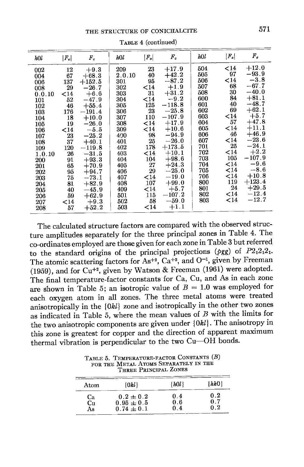TABLE 4 (continued)

The calculated structure factors are compared with the observed structure amplitudes separately for the three principal zones in Table 4. The co-ordinates employed are those given for each zone in Table 3 but referred to the standard origins of the principal projections ( $\rho gg$ ) of  $P2_12_12_1$ . The atomic scattering factors for As<sup>+2</sup>, Ca<sup>+2</sup>, and O<sup>-1</sup>, given by Freeman (1959), and for  $Cu^{+2}$ , given by Watson & Freeman (1961) were adopted. The final temperature-factor constants for Ca, Cu, and As in each zone are shown in Table 5; an isotropic value of  $B = 1.0$  was employed for each oxygen atom in all zones. The three metal atoms were treated anisotropically in the {0kl} zone and isotropically in the other two zones as indicated in Table 5, where the mean values of  $B$  with the limits for the two anisotropic components are given under  $\{0kl\}$ . The anisotropy in this zone is greatest for copper and the direction of apparent maximum thermal vibration is perpendicular to the two Cu-OH bonds.

THREE PRINCIPAL ZONES  $\{hk0\}$  $\{h0l\}$ Atom  $\{0kl\}$  $0.2$  $0.2 \pm 0.2$  $0.4$ Ca  $0.7$  $0.95\pm0.5$  $0.6$ Cu

 $0.74 \pm 0.1$ 

As

 $0.4$ 

 $0.2$ 

TABLE 5. TEMPERATURE-FACTOR CONSTANTS (B) FOR THE METAL ATOMS SEPARATELY IN THE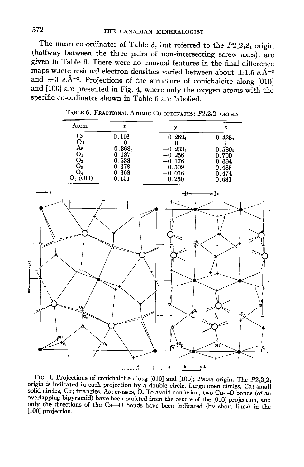The mean co-ordinates of Table 3, but referred to the  $P2_12_12_1$  origin (halfway between the three pairs of non-intersecting screw axes), are given in Table 6. There were no unusual features in the final difference maps where residual electron densities varied between about  $\pm 1.5$  e.Å<sup>-2</sup> and  $\pm 3$  e.Å<sup>-2</sup>. Projections of the structure of conichalcite along [010] and [100] are presented in Fig. 4, where only the oxygen atoms with the specific co-ordinates shown in Table 6 are labelled.

| Atom      | x                  |           | z                  |
|-----------|--------------------|-----------|--------------------|
| Ca        | $0.116_8$          | 0.269.    | 0.425 <sub>a</sub> |
| Cu        |                    |           |                    |
| As        | 0.368 <sub>5</sub> | $-0.233,$ | 0.580e             |
| О,        | 0.187              | $-0.256$  | 0.700              |
| O2        | 0.538              | $-0.176$  | 0.694              |
| О.        | 0.378              | 0.509     | 0.489              |
| O4        | 0.368              | $-0.016$  | 0.474              |
| $O5$ (OH) | $0.151\,$          | 0.250     | 0.680              |

TABLE 6. FRACTIONAL ATOMIC CO-ORDINATES: P212121 ORIGIN



FIG. 4. Projections of conichalcite along [010] and [100]; Pnma origin. The  $P2_12_12_1$ origin is indicated in each projection by a double circle. Large open circles, Ca; small solid circles, Cu; triangles, As; crosses, O. To avoid confusion, two Cu-O bonds (of an overlapping bipyramid) have been omitted from the centre of the [010] projection, and only the directions of the Ca-O bonds have been indicated (by short lines) in the [100] projection.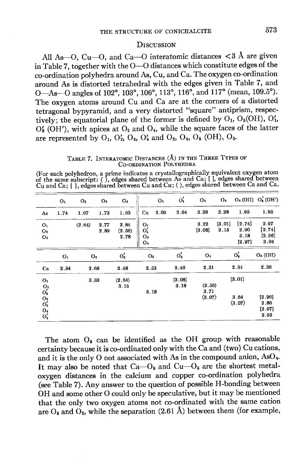### **DISCUSSION**

All As--O, Cu--O, and Ca--O interatomic distances  $\langle 3 \text{ Å} \rangle$  are given in Table 7, together with the  $O-O$  distances which constitute edges of the co-ordination polyhedra around As, Cu, and Ca. The oxygen co-ordination around As is distorted tetrahedral with the edges given in Table 7, and O-As-O angles of 102°, 103°, 106°, 113°, 116°, and 117° (mean, 109.5°). The oxygen atoms around Cu and Ca are at the corners of a distorted tetragonal bypyramid, and a very distorted "square" antiprism, respectively; the equatorial plane of the former is defined by  $O_1$ ,  $O_5(OH)$ ,  $O'_1$ ,  $O'_{6}$  (OH'), with apices at  $O_{3}$  and  $O_{4}$ , while the square faces of the latter are represented by  $O_1$ ,  $O'_2$ ,  $O_3$ ,  $O'_4$  and  $O_2$ ,  $O_4$ ,  $O_5$  (OH),  $O_3$ .

TABLE 7. INTERATOMIC DISTANCES (Å) IN THE THREE TYPES OF CO-ORDINATION POLYHEDRA

(For each polyhedron, a prime indicates a crystallographically equivalent oxygen atom<br>of the same subscript: (), edges shared between As and Ca; [], edges shared between<br>Cu and Ca; { }, edges shared between Cu and Cu;  $\langle$ 

|                                                                 | O <sub>1</sub> | O <sub>2</sub> | $\mathbf{O}$ | O4                     |                                    | Oı   | $O'_{1}$       | O <sub>3</sub>                           | O <sub>4</sub> |                                          | $O_5(OH) O'_6(OH')$                                          |
|-----------------------------------------------------------------|----------------|----------------|--------------|------------------------|------------------------------------|------|----------------|------------------------------------------|----------------|------------------------------------------|--------------------------------------------------------------|
| As                                                              | 1.74           | 1.67           | 1.73         | 1.60                   | Cu                                 | 2.09 | 2.04           | 2.38                                     | 2.28           | 1.95                                     | 1.95                                                         |
| O <sub>1</sub><br>O <sub>2</sub><br>O3                          |                | (2.64)         | 2.77<br>2.89 | 2.84<br>(2.56)<br>2.78 | О1<br>$O'_{1}$<br>$O_{3}$<br>$O_4$ |      |                | 3.22<br>[3.08]                           | [3.01]<br>3.15 | ${2.74}$<br>2.90<br>3.18<br>[2.97]       | 2.97<br>${2.74}$<br>[2.96]<br>3.04                           |
|                                                                 | O <sub>1</sub> | O <sub>2</sub> |              | $O'_2$                 | Os                                 |      | $O'_3$         | O <sub>4</sub>                           |                | $O'_4$                                   | $O5$ (OH)                                                    |
| Ca                                                              | 2.54           | 2.68           |              | 2.48                   | 2.53                               |      | 2.46           | 2.51                                     |                | 2.54                                     | 2.36                                                         |
| Oı<br>$\mathop{\mathrm{O}}_2'$<br>$O_3^3$<br>$O_4^4$<br>$O_4^4$ |                | 3.33           |              | (2.64)<br>3.15         | 3.18                               |      | [3.08]<br>3.18 | (2.56)<br>3.71<br>$\langle 3.07 \rangle$ |                | [3.01]<br>3.64<br>$\langle 3.07 \rangle$ | $\left[ 2.96\right]$<br>2.86<br>$\left[ 2.97\right]$<br>2.93 |

The atom  $O_6$  can be identified as the OH group with reasonable certainty because it is co-ordinated only with the Ca and (two) Cu cations, and it is the only O not associated with As in the compound anion, AsO<sub>4</sub>. It may also be noted that  $Ca$ — $O_5$  and  $Cu$ — $O_5$  are the shortest metaloxygen distances in the calcium and copper co-ordination polyhedra (see Table 7). Any answer to the question of possible H-bonding between OH and some other O could only be speculative, but it may be mentioned that the only two oxygen atoms not co-ordinated with the same cation are  $O_5$  and  $O_2$ , while the separation (2.61 Å) between them (for example,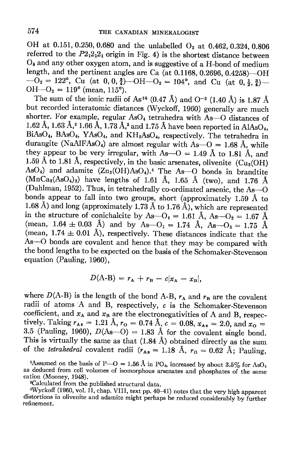OH at 0.151, 0.250, 0.680 and the unlabelled  $O_2$  at 0.462, 0.324, 0.806 referred to the  $P2_12_12_1$  origin in Fig. 4) is the shortest distance between  $O_5$  and any other oxygen atom, and is suggestive of a H-bond of medium length, and the pertinent angles are Ca (at 0.1168, 0.2696, 0.4258)—OH  $-{\rm O}_2 = 122^{\circ}$ , Cu (at 0, 0,  $\frac{3}{4}$ )-OH -O<sub>2</sub> = 104<sup>o</sup>, and Cu (at 0, $\frac{1}{2}$ ,  $\frac{3}{4}$ )- $OH - O<sub>2</sub> = 119<sup>o</sup>$  (mean, 115<sup>o</sup>).

The sum of the ionic radii of As<sup>+6</sup> (0.47 Å) and O<sup>-2</sup> (1.40 Å) is 1.87 Å but recorded interatomic distances (wyckoff, 1g60) generally are much shorter. For example, regular  $AsO<sub>4</sub>$  tetrahedra with As- $O$  distances of 1.62 Å, 1.63 Å,<sup>2</sup> 1.66 Å, 1.73 Å,<sup>3</sup> and 1.75 Å have been reported in AlAsO<sub>4</sub>, BiAsO<sub>4</sub>, BAsO<sub>4</sub>, YAsO<sub>4</sub>, and KH<sub>2</sub>AsO<sub>4</sub>, respectively. The tetrahedra in durangite (NaAlFAsO<sub>4</sub>) are almost regular with As- $O = 1.68$  Å, while they appear to be very irregular, with As- $O = 1.49$  Å to 1.81 Å, and 1.59 Å to 1.81 Å, respectively, in the basic arsenates, olivenite (Cu<sub>2</sub>(OH) AsO<sub>4</sub>) and adamite  $(Zn_2(OH)AsO<sub>4</sub>)$ .<sup>4</sup> The As-O bonds in brandtite  $(MnCa<sub>2</sub>(AsO<sub>4</sub>)<sub>2</sub>)$  have lengths of 1.61 Å, 1.65 Å (two), and 1.76 Å (Dahlman, 1952). Thus, in tetrahedrally co-ordinated arsenic, the As-O bonds appear to fall into two groups, short (approximately 1.59  $\AA$  to 1.68 Å) and long (approximately 1.73 Å to 1.76 Å), which are represented in the structure of conichalcite by As- $O_4 = 1.61$  Å, As- $O_2 = 1.67$  Å (mean,  $1.64 \pm 0.03$  Å) and by As- $O_1 = 1.74$  Å, As- $O_3 = 1.75$  Å (mean,  $1.74 \pm 0.01$  Å), respectively. These distances indicate that the As-O bonds are covalent and hence that they may be compared with the bond lengths to be expected on the basis of the Schomaker-Stevenson equation (Pauling, 1960),

$$
D(A-B) = r_A + r_B - c|x_A - x_B|,
$$

where  $D(A-B)$  is the length of the bond A-B,  $r_A$  and  $r_B$  are the covalent radii of atoms A and B, respectively,  $c$  is the Schomaker-Stevenson coefficient, and  $x_A$  and  $x_B$  are the electronegativities of A and B, respectively. Taking  $r_{As} = 1.21 \text{ Å}$ ,  $r_{O} = 0.74 \text{ Å}$ ,  $c = 0.08$ ,  $x_{As} = 2.0$ , and  $x_{O} =$ 3.5 (Pauling, 1960),  $D(As-O) = 1.83$  Å for the covalent single bond. This is virtually the same as that  $(1.84 \text{ Å})$  obtained directly as the sum of the *tetrahedral* covalent radii  $(r_{\text{As}} = 1.18 \text{ Å}, r_0 = 0.62 \text{ Å}; \text{ Pauling},$ 

<sup>2</sup>Assumed on the basis of P-O = 1.56 Å in PO<sub>4</sub>, increased by about 3.5% for AsO<sub>4</sub> as deduced from cell volumes of isomorphous arsenates and phosphates of the same cation (Mooney, 1948).

sCalculated from the published structural data.

wyckoli (1900, vol. 11, chap. V111, text pp. 40–41) notes that the very high apparent distortions in olivenite and adamite might perhaps be reduced considerably by further  $4Wyckoff$  (1960, vol. II, chap. VIII, text pp. 40–41) notes that the very high apparent refinement.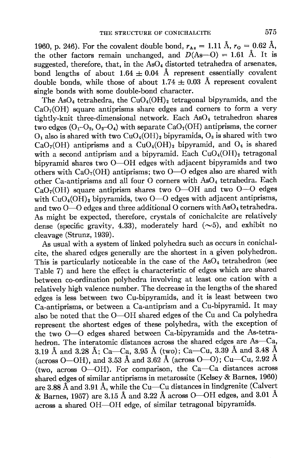1960, p. 246). For the covalent double bond,  $r_{\text{As}} = 1.11 \text{ Å}$ ,  $r_{\text{o}} = 0.62 \text{ Å}$ , the other factors remain unchanged, and  $D(As-0) = 1.61$  Å. It is suggested, therefore, that, in the  $AsO<sub>4</sub>$  distorted tetrahedra of arsenates, bond lengths of about  $1.64 \pm 0.04$  Å represent essentially covalent double bonds, while those of about  $1.74 \pm 0.03$  Å represent covalent single bonds with some double-bond character.

The AsO<sub>4</sub> tetrahedra, the CuO<sub>4</sub>(OH)<sub>2</sub> tetragonal bipyramids, and the  $CaO<sub>7</sub>(OH)$  square antiprisms share edges and corners to form a very tightly-knit three-dimensional network. Each  $AsO<sub>4</sub>$  tetrahedron shares two edges  $(O_1-O_2, O_2-O_4)$  with separate  $CaO<sub>7</sub>(OH)$  antiprisms, the corner  $O_1$  also is shared with two CuO<sub>4</sub>(OH)<sub>2</sub> bipyramids,  $O_3$  is shared with two  $CaO<sub>7</sub>(OH)$  antiprisms and a  $CuO<sub>4</sub>(OH)$ <sub>2</sub> bipyramid, and  $O<sub>4</sub>$  is shared with a second antiprism and a bipyramid. Each  $CuO<sub>4</sub>(OH)<sub>2</sub>$  tetragonal bipyramid shares two O-OH edges with adjacent bipyramids and two others with  $CaO<sub>7</sub>(OH)$  antiprisms; two  $O-O$  edges also are shared with other Ca-antiprisms and all four O corners with  $AsO<sub>4</sub>$  tetrahedra. Each  $CaO<sub>7</sub>(OH)$  square antiprism shares two O-OH and two O-O edges with  $CuO<sub>4</sub>(OH)$ , bipyramids, two  $O<sub>-O</sub>$  edges with adjacent antiprisms, and two  $O-O$  edges and three additional O corners with As $O_4$  tetrahedra. As might be expected, therefore, crystals of conichalcite are relatively dense (specific gravity, 4.33), moderately hard  $(\sim 5)$ , and exhibit no cleavage (Strunz, 1939).

As usual with a system of linked polyhedra such as occurs in conichalcite, the shared edges generally are the shortest in a given polyhedron. This is particularly noticeable in the case of the  $AsO<sub>4</sub>$  tetrahedron (see Table 7) and here the effect is characteristic of edges which are shared between co-ordination polyhedra involving at least one cation with a relatively high valence number. The decrease in the lengths of the shared edges is less between two Cu-bipyramids, and it is least between two Ca-antiprisms, or between a Ca-antiprism and a Cu-bipyramid. It may also be noted that the O-OH shared edges of the Cu and Ca polyhedra represent the shortest edges of these polyhedra, with the exception of the two O-O edges shared between Ca-bipyramids and the As-tetrahedron. The interatomic distances across the shared edges are As-Ca, 3.19 Å and 3.28 Å; Ca—Ca, 3.95 Å (two); Ca—Cu, 3.39 Å and 3.48 Å (across O-OH), and 3.53 Å and 3.62 Å (across O-O); Cu-Cu, 2.92 Å (two, across O-OH). For comparison, the Ca-Ca distances across shared edges of similar antiprisms in metarossite (Kelsey & Barnes, 1960) are 8.88 A and 3.91 A, while the Cu-Cu distances in lindgrenite (Calvert & Barnes, 1957) are 3.15 Å and 3.22 Å across O--OH edges, and 3.01 Å across a shared OH-OH edge, of similar tetragonal bipyramids.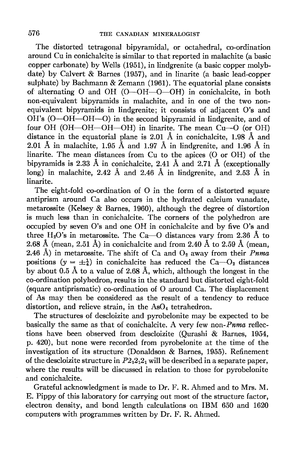The distorted tetragonal bipyramidal, or octahedral, co-ordination around Cu in conichalcite is similar to that reported in malachite (a basic copper carbonate) by Wells (1951), in lindgrenite (a basic copper molybdate) by Calvert & Barnes (1957), and in linarite (a basic lead-copper sulphate) by Bachmann & Zemann (1961). The equatorial plane consists of alternating O and OH  $(O$ --OH $-O$ -OH) in conichalcite, in both non-equivalent bipyramids in malachite, and in one of the two nonequivalent bipyramids in lindgrenite; it consists of adjacent O's and OH's (O--OH--OH--O) in the second bipyramid in lindgrenite, and of four OH (OH-OH-OH-OH) in linarite. The mean Cu-O (or OH) distance in the equatorial plane is 2.01 A in conichalcite, 1.98 A and 2.01 Å in malachite, 1.95 Å and 1.97 Å in lindgrenite, and 1.96 Å in linarite. The mean distances from Cu to the apices (O or OH) of the bipyramids is 2.33 Å in conichalcite, 2.41 Å and 2.71 Å (exceptionally long) in malachite, 2.42 A and 2.46 A in findgrenite, and 2.53 A in linarite.

The eight-fold co-ordination of O in the form of a distorted square antiprism around Ca also occurs in the hydrated calcium vanadate, metarossite (Kelsey & Barnes, 1960), although the degree of distortion is much less than in conichalcite. The corners of the polyhedron are occupied by seven O's and one OH in conichalcite and by five O's and three H<sub>2</sub>O's in metarossite. The Ca-- $\overline{O}$  distances vary from 2.36 Å to 2.68 Å (mean, 2.51 Å) in conichalcite and from 2.40 Å to 2.59 Å (mean. 2.46 Å) in metarossite. The shift of Ca and  $O_2$  away from their *Pnma* positions ( $y = \pm \frac{1}{4}$ ) in conichalcite has reduced the Ca-O<sub>2</sub> distances by about 0.5 A to a value of 2.68 A, which, although the longest in the co-ordination polyhedron, results in the standard but distorted eight-fold (square antiprismatic) co-ordination of O around Ca. The displacement of As may then be considered as the result of a tendency to reduce distortion, and relieve strain, in the AsO<sub>4</sub> tetrahedron.

The structures of descloizite and pyrobelonite may be expected to be basically the same as that of conichalcite. A very few non-Pnma reflections have been observed from descloizite (Qurashi & Barnes, 1954, p, 420), but none were recorded from pyrobelonite at the time of the investigation of its structure (Donaldson & Barnes, 1955). Refinement of the descloizite structure in  $P2_12_12_1$  will be described in a separate paper, where the results will be discussed in relation to those for pyrobelonite and conichalcite.

Grateful acknowledgment is made to Dr. F. R. Ahmed and to Mrs. M. E. Pippy of this laboratory for carrying out most of the structure factor, electron density, and bond length calculations on IBM 650 and 1620 computers with programmes written by Dr. F. R. Ahmed.